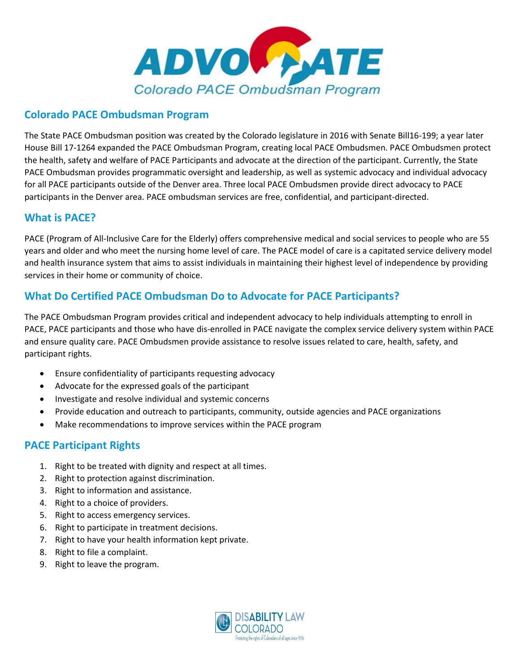

### **Colorado PACE Ombudsman Program**

The State PACE Ombudsman position was created by the Colorado legislature in 2016 with Senate Bill16-199; a year later House Bill 17-1264 expanded the PACE Ombudsman Program, creating local PACE Ombudsmen. PACE Ombudsmen protect the health, safety and welfare of PACE Participants and advocate at the direction of the participant. Currently, the State PACE Ombudsman provides programmatic oversight and leadership, as well as systemic advocacy and individual advocacy for all PACE participants outside of the Denver area. Three local PACE Ombudsmen provide direct advocacy to PACE participants in the Denver area. PACE ombudsman services are free, confidential, and participant-directed.

### **What is PACE?**

PACE (Program of All-Inclusive Care for the Elderly) offers comprehensive medical and social services to people who are 55 years and older and who meet the nursing home level of care. The PACE model of care is a capitated service delivery model and health insurance system that aims to assist individuals in maintaining their highest level of independence by providing services in their home or community of choice.

# **What Do Certified PACE Ombudsman Do to Advocate for PACE Participants?**

The PACE Ombudsman Program provides critical and independent advocacy to help individuals attempting to enroll in PACE, PACE participants and those who have dis-enrolled in PACE navigate the complex service delivery system within PACE and ensure quality care. PACE Ombudsmen provide assistance to resolve issues related to care, health, safety, and participant rights.

- Ensure confidentiality of participants requesting advocacy
- Advocate for the expressed goals of the participant
- Investigate and resolve individual and systemic concerns
- Provide education and outreach to participants, community, outside agencies and PACE organizations
- Make recommendations to improve services within the PACE program

### **PACE Participant Rights**

- 1. Right to be treated with dignity and respect at all times.
- 2. Right to protection against discrimination.
- 3. Right to information and assistance.
- 4. Right to a choice of providers.
- 5. Right to access emergency services.
- 6. Right to participate in treatment decisions.
- 7. Right to have your health information kept private.
- 8. Right to file a complaint.
- 9. Right to leave the program.